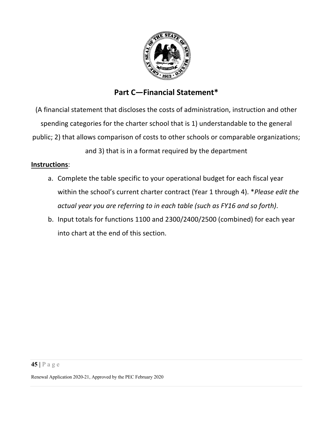

# **Part C—Financial Statement\***

(A financial statement that discloses the costs of administration, instruction and other spending categories for the charter school that is 1) understandable to the general public; 2) that allows comparison of costs to other schools or comparable organizations;

and 3) that is in a format required by the department

#### **Instructions**:

- a. Complete the table specific to your operational budget for each fiscal year within the school's current charter contract (Year 1 through 4). \**Please edit the actual year you are referring to in each table (such as FY16 and so forth)*.
- b. Input totals for functions 1100 and 2300/2400/2500 (combined) for each year into chart at the end of this section.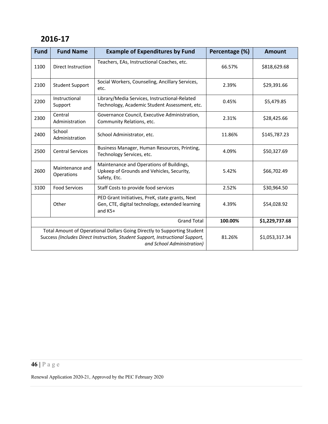| <b>Fund</b>                                                                                                                                                                             | <b>Fund Name</b>              | <b>Example of Expenditures by Fund</b>                                                                          | Percentage (%) | <b>Amount</b>  |
|-----------------------------------------------------------------------------------------------------------------------------------------------------------------------------------------|-------------------------------|-----------------------------------------------------------------------------------------------------------------|----------------|----------------|
| 1100                                                                                                                                                                                    | Direct Instruction            | Teachers, EAs, Instructional Coaches, etc.                                                                      | 66.57%         | \$818,629.68   |
| 2100                                                                                                                                                                                    | <b>Student Support</b>        | Social Workers, Counseling, Ancillary Services,<br>etc.                                                         | 2.39%          | \$29,391.66    |
| 2200                                                                                                                                                                                    | Instructional<br>Support      | Library/Media Services, Instructional-Related<br>Technology, Academic Student Assessment, etc.                  | 0.45%          | \$5,479.85     |
| 2300                                                                                                                                                                                    | Central<br>Administration     | Governance Council, Executive Administration,<br>Community Relations, etc.                                      | 2.31%          | \$28,425.66    |
| 2400                                                                                                                                                                                    | School<br>Administration      | School Administrator, etc.                                                                                      | 11.86%         | \$145,787.23   |
| 2500                                                                                                                                                                                    | <b>Central Services</b>       | Business Manager, Human Resources, Printing,<br>Technology Services, etc.                                       | 4.09%          | \$50,327.69    |
| 2600                                                                                                                                                                                    | Maintenance and<br>Operations | Maintenance and Operations of Buildings,<br>Upkeep of Grounds and Vehicles, Security,<br>Safety, Etc.           | 5.42%          | \$66,702.49    |
| 3100                                                                                                                                                                                    | <b>Food Services</b>          | Staff Costs to provide food services                                                                            | 2.52%          | \$30,964.50    |
|                                                                                                                                                                                         | Other                         | PED Grant Initiatives, PreK, state grants, Next<br>Gen, CTE, digital technology, extended learning<br>and $K5+$ | 4.39%          | \$54,028.92    |
| <b>Grand Total</b>                                                                                                                                                                      |                               |                                                                                                                 | 100.00%        | \$1,229,737.68 |
| Total Amount of Operational Dollars Going Directly to Supporting Student<br>Success (Includes Direct Instruction, Student Support, Instructional Support,<br>and School Administration) |                               |                                                                                                                 | 81.26%         | \$1,053,317.34 |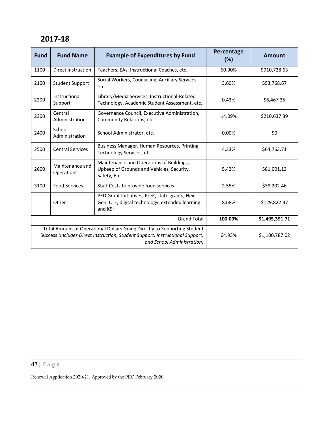| <b>Fund</b>                                                                                                                                                                             | <b>Fund Name</b>              | <b>Example of Expenditures by Fund</b>                                                                          | Percentage<br>(%) | Amount         |
|-----------------------------------------------------------------------------------------------------------------------------------------------------------------------------------------|-------------------------------|-----------------------------------------------------------------------------------------------------------------|-------------------|----------------|
| 1100                                                                                                                                                                                    | Direct Instruction            | Teachers, EAs, Instructional Coaches, etc.                                                                      | 60.90%            | \$910,728.63   |
| 2100                                                                                                                                                                                    | <b>Student Support</b>        | Social Workers, Counseling, Ancillary Services,<br>etc.                                                         | 3.60%             | \$53,768.67    |
| 2200                                                                                                                                                                                    | Instructional<br>Support      | Library/Media Services, Instructional-Related<br>Technology, Academic Student Assessment, etc.                  | 0.43%             | \$6,467.35     |
| 2300                                                                                                                                                                                    | Central<br>Administration     | Governance Council, Executive Administration,<br>Community Relations, etc.                                      | 14.09%            | \$210,637.39   |
| 2400                                                                                                                                                                                    | School<br>Administration      | School Administrator, etc.                                                                                      | 0.00%             | \$0            |
| 2500                                                                                                                                                                                    | <b>Central Services</b>       | Business Manager, Human Resources, Printing,<br>Technology Services, etc.                                       | 4.33%             | \$64,763.71    |
| 2600                                                                                                                                                                                    | Maintenance and<br>Operations | Maintenance and Operations of Buildings,<br>Upkeep of Grounds and Vehicles, Security,<br>Safety, Etc.           | 5.42%             | \$81,001.13    |
| 3100                                                                                                                                                                                    | <b>Food Services</b>          | Staff Costs to provide food services                                                                            | 2.55%             | \$38,202.46    |
|                                                                                                                                                                                         | Other                         | PED Grant Initiatives, PreK, state grants, Next<br>Gen, CTE, digital technology, extended learning<br>and $K5+$ | 8.68%             | \$129,822.37   |
| <b>Grand Total</b>                                                                                                                                                                      |                               |                                                                                                                 | 100.00%           | \$1,495,391.71 |
| Total Amount of Operational Dollars Going Directly to Supporting Student<br>Success (Includes Direct Instruction, Student Support, Instructional Support,<br>and School Administration) |                               |                                                                                                                 | 64.93%            | \$1,100,787.02 |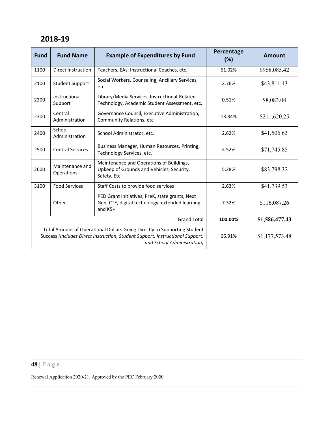| <b>Fund</b>                                                                                                                                                                             | <b>Fund Name</b>              | <b>Example of Expenditures by Fund</b>                                                                          | Percentage<br>(%) | Amount         |
|-----------------------------------------------------------------------------------------------------------------------------------------------------------------------------------------|-------------------------------|-----------------------------------------------------------------------------------------------------------------|-------------------|----------------|
| 1100                                                                                                                                                                                    | <b>Direct Instruction</b>     | Teachers, EAs, Instructional Coaches, etc.                                                                      | 61.02%            | \$968,085.42   |
| 2100                                                                                                                                                                                    | <b>Student Support</b>        | Social Workers, Counseling, Ancillary Services,<br>etc.                                                         | 2.76%             | \$43,811.13    |
| 2200                                                                                                                                                                                    | Instructional<br>Support      | Library/Media Services, Instructional-Related<br>Technology, Academic Student Assessment, etc.                  | 0.51%             | \$8,083.04     |
| 2300                                                                                                                                                                                    | Central<br>Administration     | Governance Council, Executive Administration,<br>Community Relations, etc.                                      | 13.34%            | \$211,620.25   |
| 2400                                                                                                                                                                                    | School<br>Administration      | School Administrator, etc.                                                                                      | 2.62%             | \$41,506.63    |
| 2500                                                                                                                                                                                    | <b>Central Services</b>       | Business Manager, Human Resources, Printing,<br>Technology Services, etc.                                       | 4.52%             | \$71,745.85    |
| 2600                                                                                                                                                                                    | Maintenance and<br>Operations | Maintenance and Operations of Buildings,<br>Upkeep of Grounds and Vehicles, Security,<br>Safety, Etc.           | 5.28%             | \$83,798.32    |
| 3100                                                                                                                                                                                    | <b>Food Services</b>          | Staff Costs to provide food services                                                                            | 2.63%             | \$41,739.53    |
|                                                                                                                                                                                         | Other                         | PED Grant Initiatives, PreK, state grants, Next<br>Gen, CTE, digital technology, extended learning<br>and $K5+$ | 7.32%             | \$116,087.26   |
| <b>Grand Total</b>                                                                                                                                                                      |                               |                                                                                                                 | 100.00%           | \$1,586,477.43 |
| Total Amount of Operational Dollars Going Directly to Supporting Student<br>Success (Includes Direct Instruction, Student Support, Instructional Support,<br>and School Administration) |                               |                                                                                                                 | 66.91%            | \$1,177,573.48 |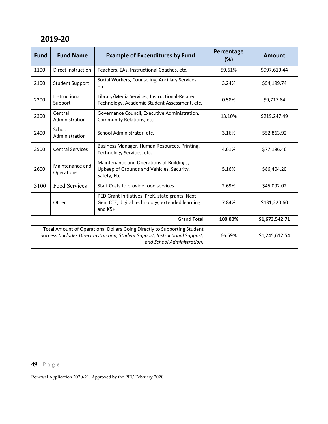| <b>Fund</b>                                                                                                                                                                             | <b>Fund Name</b>              | <b>Example of Expenditures by Fund</b>                                                                          | Percentage<br>(%) | Amount         |
|-----------------------------------------------------------------------------------------------------------------------------------------------------------------------------------------|-------------------------------|-----------------------------------------------------------------------------------------------------------------|-------------------|----------------|
| 1100                                                                                                                                                                                    | <b>Direct Instruction</b>     | Teachers, EAs, Instructional Coaches, etc.                                                                      | 59.61%            | \$997,610.44   |
| 2100                                                                                                                                                                                    | <b>Student Support</b>        | Social Workers, Counseling, Ancillary Services,<br>etc.                                                         | 3.24%             | \$54,199.74    |
| 2200                                                                                                                                                                                    | Instructional<br>Support      | Library/Media Services, Instructional-Related<br>Technology, Academic Student Assessment, etc.                  | 0.58%             | \$9,717.84     |
| 2300                                                                                                                                                                                    | Central<br>Administration     | Governance Council, Executive Administration,<br>Community Relations, etc.                                      | 13.10%            | \$219,247.49   |
| 2400                                                                                                                                                                                    | School<br>Administration      | School Administrator, etc.                                                                                      | 3.16%             | \$52,863.92    |
| 2500                                                                                                                                                                                    | <b>Central Services</b>       | Business Manager, Human Resources, Printing,<br>Technology Services, etc.                                       | 4.61%             | \$77,186.46    |
| 2600                                                                                                                                                                                    | Maintenance and<br>Operations | Maintenance and Operations of Buildings,<br>Upkeep of Grounds and Vehicles, Security,<br>Safety, Etc.           | 5.16%             | \$86,404.20    |
| 3100                                                                                                                                                                                    | Food Services                 | Staff Costs to provide food services                                                                            | 2.69%             | \$45,092.02    |
|                                                                                                                                                                                         | Other                         | PED Grant Initiatives, PreK, state grants, Next<br>Gen, CTE, digital technology, extended learning<br>and $K5+$ | 7.84%             | \$131,220.60   |
| <b>Grand Total</b>                                                                                                                                                                      |                               |                                                                                                                 | 100.00%           | \$1,673,542.71 |
| Total Amount of Operational Dollars Going Directly to Supporting Student<br>Success (Includes Direct Instruction, Student Support, Instructional Support,<br>and School Administration) |                               |                                                                                                                 | 66.59%            | \$1,245,612.54 |